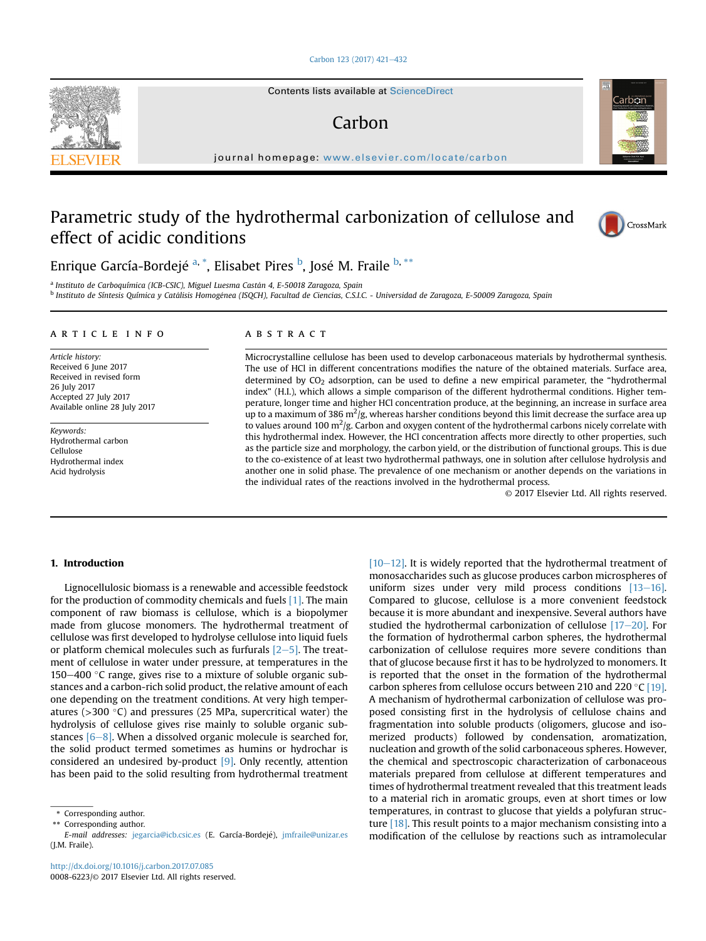#### [Carbon 123 \(2017\) 421](http://dx.doi.org/10.1016/j.carbon.2017.07.085)-[432](http://dx.doi.org/10.1016/j.carbon.2017.07.085)

Contents lists available at ScienceDirect

# Carbon

journal homepage: <www.elsevier.com/locate/carbon>

# Parametric study of the hydrothermal carbonization of cellulose and effect of acidic conditions



Carbon

Enrique García-Bordejé <sup>a, \*</sup>, Elisabet Pires <sup>b</sup>, José M. Fraile <sup>b, \*\*</sup>

<sup>a</sup> Instituto de Carboquímica (ICB-CSIC), Miguel Luesma Castán 4, E-50018 Zaragoza, Spain <sup>b</sup> Instituto de Síntesis Química y Catálisis Homogénea (ISQCH), Facultad de Ciencias, C.S.I.C. - Universidad de Zaragoza, E-50009 Zaragoza, Spain

#### article info

Article history: Received 6 June 2017 Received in revised form 26 July 2017 Accepted 27 July 2017 Available online 28 July 2017

Keywords: Hydrothermal carbon Cellulose Hydrothermal index Acid hydrolysis

## ABSTRACT

Microcrystalline cellulose has been used to develop carbonaceous materials by hydrothermal synthesis. The use of HCl in different concentrations modifies the nature of the obtained materials. Surface area, determined by  $CO<sub>2</sub>$  adsorption, can be used to define a new empirical parameter, the "hydrothermal index" (H.I.), which allows a simple comparison of the different hydrothermal conditions. Higher temperature, longer time and higher HCl concentration produce, at the beginning, an increase in surface area up to a maximum of 386 m $^2$ /g, whereas harsher conditions beyond this limit decrease the surface area up to values around 100 m<sup>2</sup>/g. Carbon and oxygen content of the hydrothermal carbons nicely correlate with this hydrothermal index. However, the HCl concentration affects more directly to other properties, such as the particle size and morphology, the carbon yield, or the distribution of functional groups. This is due to the co-existence of at least two hydrothermal pathways, one in solution after cellulose hydrolysis and another one in solid phase. The prevalence of one mechanism or another depends on the variations in the individual rates of the reactions involved in the hydrothermal process.

© 2017 Elsevier Ltd. All rights reserved.

## 1. Introduction

Lignocellulosic biomass is a renewable and accessible feedstock for the production of commodity chemicals and fuels [\[1\]](#page--1-0). The main component of raw biomass is cellulose, which is a biopolymer made from glucose monomers. The hydrothermal treatment of cellulose was first developed to hydrolyse cellulose into liquid fuels or platform chemical molecules such as furfurals  $[2-5]$  $[2-5]$ . The treatment of cellulose in water under pressure, at temperatures in the 150 $-400$  °C range, gives rise to a mixture of soluble organic substances and a carbon-rich solid product, the relative amount of each one depending on the treatment conditions. At very high temperatures ( $>$ 300 °C) and pressures (25 MPa, supercritical water) the hydrolysis of cellulose gives rise mainly to soluble organic substances  $[6-8]$  $[6-8]$  $[6-8]$ . When a dissolved organic molecule is searched for, the solid product termed sometimes as humins or hydrochar is considered an undesired by-product [\[9\]](#page--1-0). Only recently, attention has been paid to the solid resulting from hydrothermal treatment

\*\* Corresponding author.

 $[10-12]$  $[10-12]$  $[10-12]$ . It is widely reported that the hydrothermal treatment of monosaccharides such as glucose produces carbon microspheres of uniform sizes under very mild process conditions  $[13-16]$  $[13-16]$ . Compared to glucose, cellulose is a more convenient feedstock because it is more abundant and inexpensive. Several authors have studied the hydrothermal carbonization of cellulose  $[17-20]$  $[17-20]$  $[17-20]$ . For the formation of hydrothermal carbon spheres, the hydrothermal carbonization of cellulose requires more severe conditions than that of glucose because first it has to be hydrolyzed to monomers. It is reported that the onset in the formation of the hydrothermal carbon spheres from cellulose occurs between 210 and 220 $\degree$ C [\[19\].](#page--1-0) A mechanism of hydrothermal carbonization of cellulose was proposed consisting first in the hydrolysis of cellulose chains and fragmentation into soluble products (oligomers, glucose and isomerized products) followed by condensation, aromatization, nucleation and growth of the solid carbonaceous spheres. However, the chemical and spectroscopic characterization of carbonaceous materials prepared from cellulose at different temperatures and times of hydrothermal treatment revealed that this treatment leads to a material rich in aromatic groups, even at short times or low temperatures, in contrast to glucose that yields a polyfuran structure [\[18\].](#page--1-0) This result points to a major mechanism consisting into a modification of the cellulose by reactions such as intramolecular



<sup>\*</sup> Corresponding author.

E-mail addresses: [jegarcia@icb.csic.es](mailto:jegarcia@icb.csic.es) (E. García-Bordeje), [jmfraile@unizar.es](mailto:jmfraile@unizar.es) (J.M. Fraile).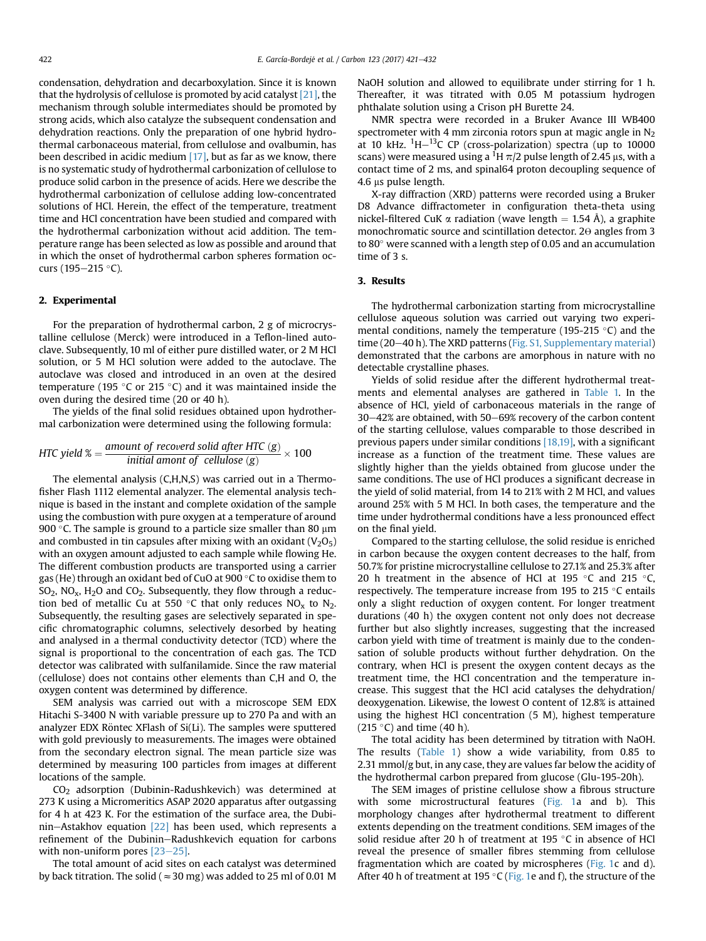condensation, dehydration and decarboxylation. Since it is known that the hydrolysis of cellulose is promoted by acid catalyst [\[21\],](#page--1-0) the mechanism through soluble intermediates should be promoted by strong acids, which also catalyze the subsequent condensation and dehydration reactions. Only the preparation of one hybrid hydrothermal carbonaceous material, from cellulose and ovalbumin, has been described in acidic medium  $[17]$ , but as far as we know, there is no systematic study of hydrothermal carbonization of cellulose to produce solid carbon in the presence of acids. Here we describe the hydrothermal carbonization of cellulose adding low-concentrated solutions of HCl. Herein, the effect of the temperature, treatment time and HCl concentration have been studied and compared with the hydrothermal carbonization without acid addition. The temperature range has been selected as low as possible and around that in which the onset of hydrothermal carbon spheres formation occurs (195–215 °C).

#### 2. Experimental

For the preparation of hydrothermal carbon, 2 g of microcrystalline cellulose (Merck) were introduced in a Teflon-lined autoclave. Subsequently, 10 ml of either pure distilled water, or 2 M HCl solution, or 5 M HCl solution were added to the autoclave. The autoclave was closed and introduced in an oven at the desired temperature (195 $\degree$ C or 215 $\degree$ C) and it was maintained inside the oven during the desired time (20 or 40 h).

The yields of the final solid residues obtained upon hydrothermal carbonization were determined using the following formula:

$$
HTC yield \% = \frac{amount\ of\ recovered\ solid\ after\ HTC\ (g)}{initial\ amount\ of\ cellulose\ (g)} \times 100
$$

The elemental analysis (C,H,N,S) was carried out in a Thermofisher Flash 1112 elemental analyzer. The elemental analysis technique is based in the instant and complete oxidation of the sample using the combustion with pure oxygen at a temperature of around 900 °C. The sample is ground to a particle size smaller than 80  $\mu$ m and combusted in tin capsules after mixing with an oxidant  $(V_2O_5)$ with an oxygen amount adjusted to each sample while flowing He. The different combustion products are transported using a carrier gas (He) through an oxidant bed of CuO at 900 $\degree$ C to oxidise them to  $SO_2$ , NO<sub>x</sub>, H<sub>2</sub>O and CO<sub>2</sub>. Subsequently, they flow through a reduction bed of metallic Cu at 550 °C that only reduces  $NO<sub>x</sub>$  to  $N<sub>2</sub>$ . Subsequently, the resulting gases are selectively separated in specific chromatographic columns, selectively desorbed by heating and analysed in a thermal conductivity detector (TCD) where the signal is proportional to the concentration of each gas. The TCD detector was calibrated with sulfanilamide. Since the raw material (cellulose) does not contains other elements than C,H and O, the oxygen content was determined by difference.

SEM analysis was carried out with a microscope SEM EDX Hitachi S-3400 N with variable pressure up to 270 Pa and with an analyzer EDX Röntec XFlash of Si(Li). The samples were sputtered with gold previously to measurements. The images were obtained from the secondary electron signal. The mean particle size was determined by measuring 100 particles from images at different locations of the sample.

CO2 adsorption (Dubinin-Radushkevich) was determined at 273 K using a Micromeritics ASAP 2020 apparatus after outgassing for 4 h at 423 K. For the estimation of the surface area, the Dubinin-Astakhov equation  $[22]$  has been used, which represents a refinement of the Dubinin-Radushkevich equation for carbons with non-uniform pores  $[23-25]$  $[23-25]$  $[23-25]$ .

The total amount of acid sites on each catalyst was determined by back titration. The solid ( $\approx$  30 mg) was added to 25 ml of 0.01 M

NaOH solution and allowed to equilibrate under stirring for 1 h. Thereafter, it was titrated with 0.05 M potassium hydrogen phthalate solution using a Crison pH Burette 24.

NMR spectra were recorded in a Bruker Avance III WB400 spectrometer with 4 mm zirconia rotors spun at magic angle in  $N_2$ at 10 kHz.  $\rm ^1H-^{13}C$  CP (cross-polarization) spectra (up to 10000 scans) were measured using a <sup>1</sup>H  $\pi/2$  pulse length of 2.45 µs, with a contact time of 2 ms, and spinal64 proton decoupling sequence of 4.6 µs pulse length.

X-ray diffraction (XRD) patterns were recorded using a Bruker D8 Advance diffractometer in configuration theta-theta using nickel-filtered CuK  $\alpha$  radiation (wave length = 1.54 Å), a graphite monochromatic source and scintillation detector.  $2\theta$  angles from 3 to 80 $\degree$  were scanned with a length step of 0.05 and an accumulation time of 3 s.

### 3. Results

The hydrothermal carbonization starting from microcrystalline cellulose aqueous solution was carried out varying two experimental conditions, namely the temperature (195-215  $\degree$ C) and the time (20 $-40$  h). The XRD patterns (Fig. S1, Supplementary material) demonstrated that the carbons are amorphous in nature with no detectable crystalline phases.

Yields of solid residue after the different hydrothermal treatments and elemental analyses are gathered in [Table 1.](#page--1-0) In the absence of HCl, yield of carbonaceous materials in the range of  $30-42%$  are obtained, with  $50-69%$  recovery of the carbon content of the starting cellulose, values comparable to those described in previous papers under similar conditions [\[18,19\],](#page--1-0) with a significant increase as a function of the treatment time. These values are slightly higher than the yields obtained from glucose under the same conditions. The use of HCl produces a significant decrease in the yield of solid material, from 14 to 21% with 2 M HCl, and values around 25% with 5 M HCl. In both cases, the temperature and the time under hydrothermal conditions have a less pronounced effect on the final yield.

Compared to the starting cellulose, the solid residue is enriched in carbon because the oxygen content decreases to the half, from 50.7% for pristine microcrystalline cellulose to 27.1% and 25.3% after 20 h treatment in the absence of HCl at 195  $\degree$ C and 215  $\degree$ C, respectively. The temperature increase from 195 to 215  $\degree$ C entails only a slight reduction of oxygen content. For longer treatment durations (40 h) the oxygen content not only does not decrease further but also slightly increases, suggesting that the increased carbon yield with time of treatment is mainly due to the condensation of soluble products without further dehydration. On the contrary, when HCl is present the oxygen content decays as the treatment time, the HCl concentration and the temperature increase. This suggest that the HCl acid catalyses the dehydration/ deoxygenation. Likewise, the lowest O content of 12.8% is attained using the highest HCl concentration (5 M), highest temperature  $(215 \degree C)$  and time (40 h).

The total acidity has been determined by titration with NaOH. The results [\(Table 1\)](#page--1-0) show a wide variability, from 0.85 to 2.31 mmol/g but, in any case, they are values far below the acidity of the hydrothermal carbon prepared from glucose (Glu-195-20h).

The SEM images of pristine cellulose show a fibrous structure with some microstructural features ([Fig. 1](#page--1-0)a and b). This morphology changes after hydrothermal treatment to different extents depending on the treatment conditions. SEM images of the solid residue after 20 h of treatment at 195 $\degree$ C in absence of HCl reveal the presence of smaller fibres stemming from cellulose fragmentation which are coated by microspheres [\(Fig. 1c](#page--1-0) and d). After 40 h of treatment at 195  $\degree$ C [\(Fig. 1](#page--1-0)e and f), the structure of the